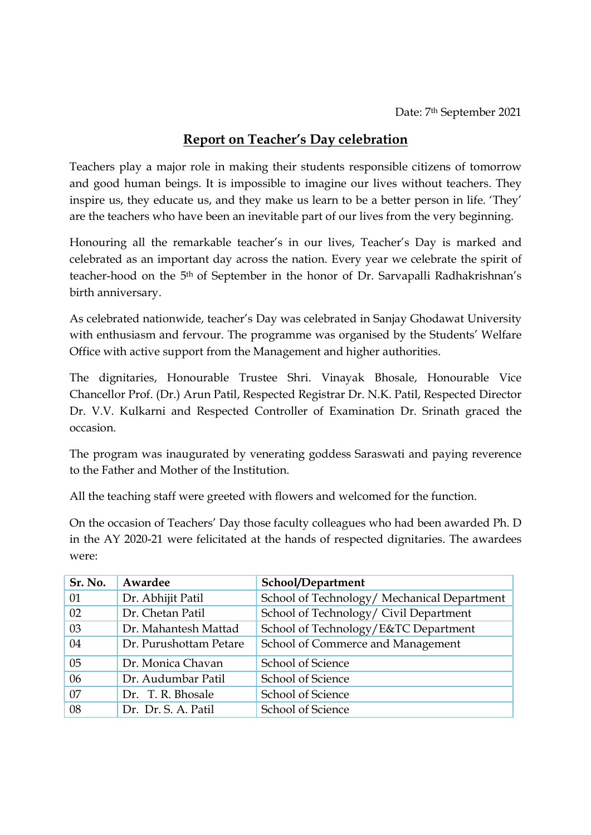## Report on Teacher's Day celebration

Teachers play a major role in making their students responsible citizens of tomorrow and good human beings. It is impossible to imagine our lives without teachers. They inspire us, they educate us, and they make us learn to be a better person in life. 'They' are the teachers who have been an inevitable part of our lives from the very beginning.

Honouring all the remarkable teacher's in our lives, Teacher's Day is marked and celebrated as an important day across the nation. Every year we celebrate the spirit of teacher-hood on the 5th of September in the honor of Dr. Sarvapalli Radhakrishnan's birth anniversary.

As celebrated nationwide, teacher's Day was celebrated in Sanjay Ghodawat University with enthusiasm and fervour. The programme was organised by the Students' Welfare Office with active support from the Management and higher authorities.

The dignitaries, Honourable Trustee Shri. Vinayak Bhosale, Honourable Vice Chancellor Prof. (Dr.) Arun Patil, Respected Registrar Dr. N.K. Patil, Respected Director Dr. V.V. Kulkarni and Respected Controller of Examination Dr. Srinath graced the occasion.

The program was inaugurated by venerating goddess Saraswati and paying reverence to the Father and Mother of the Institution.

All the teaching staff were greeted with flowers and welcomed for the function.

On the occasion of Teachers' Day those faculty colleagues who had been awarded Ph. D in the AY 2020-21 were felicitated at the hands of respected dignitaries. The awardees were:

| Sr. No. | Awardee                | School/Department                           |
|---------|------------------------|---------------------------------------------|
| 01      | Dr. Abhijit Patil      | School of Technology/ Mechanical Department |
| 02      | Dr. Chetan Patil       | School of Technology/ Civil Department      |
| 03      | Dr. Mahantesh Mattad   | School of Technology/E&TC Department        |
| 04      | Dr. Purushottam Petare | School of Commerce and Management           |
| 05      | Dr. Monica Chavan      | <b>School of Science</b>                    |
| 06      | Dr. Audumbar Patil     | <b>School of Science</b>                    |
| 07      | Dr. T. R. Bhosale      | <b>School of Science</b>                    |
| 08      | Dr. Dr. S. A. Patil    | <b>School of Science</b>                    |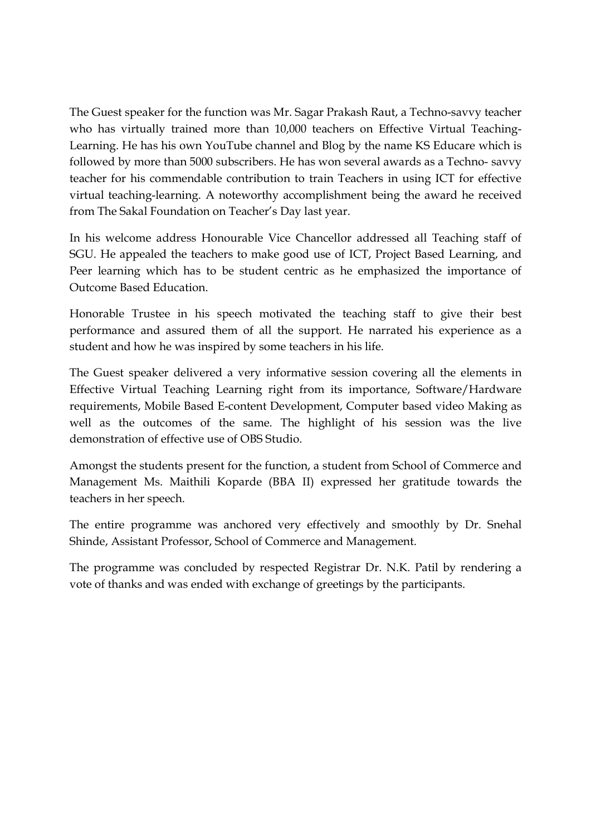The Guest speaker for the function was Mr. Sagar Prakash Raut, a Techno-savvy teacher who has virtually trained more than 10,000 teachers on Effective Virtual Teaching-Learning. He has his own YouTube channel and Blog by the name KS Educare which is followed by more than 5000 subscribers. He has won several awards as a Techno- savvy teacher for his commendable contribution to train Teachers in using ICT for effective virtual teaching-learning. A noteworthy accomplishment being the award he received from The Sakal Foundation on Teacher's Day last year.

In his welcome address Honourable Vice Chancellor addressed all Teaching staff of SGU. He appealed the teachers to make good use of ICT, Project Based Learning, and Peer learning which has to be student centric as he emphasized the importance of Outcome Based Education.

Honorable Trustee in his speech motivated the teaching staff to give their best performance and assured them of all the support. He narrated his experience as a student and how he was inspired by some teachers in his life.

The Guest speaker delivered a very informative session covering all the elements in Effective Virtual Teaching Learning right from its importance, Software/Hardware requirements, Mobile Based E-content Development, Computer based video Making as well as the outcomes of the same. The highlight of his session was the live demonstration of effective use of OBS Studio.

Amongst the students present for the function, a student from School of Commerce and Management Ms. Maithili Koparde (BBA II) expressed her gratitude towards the teachers in her speech.

The entire programme was anchored very effectively and smoothly by Dr. Snehal Shinde, Assistant Professor, School of Commerce and Management.

The programme was concluded by respected Registrar Dr. N.K. Patil by rendering a vote of thanks and was ended with exchange of greetings by the participants.